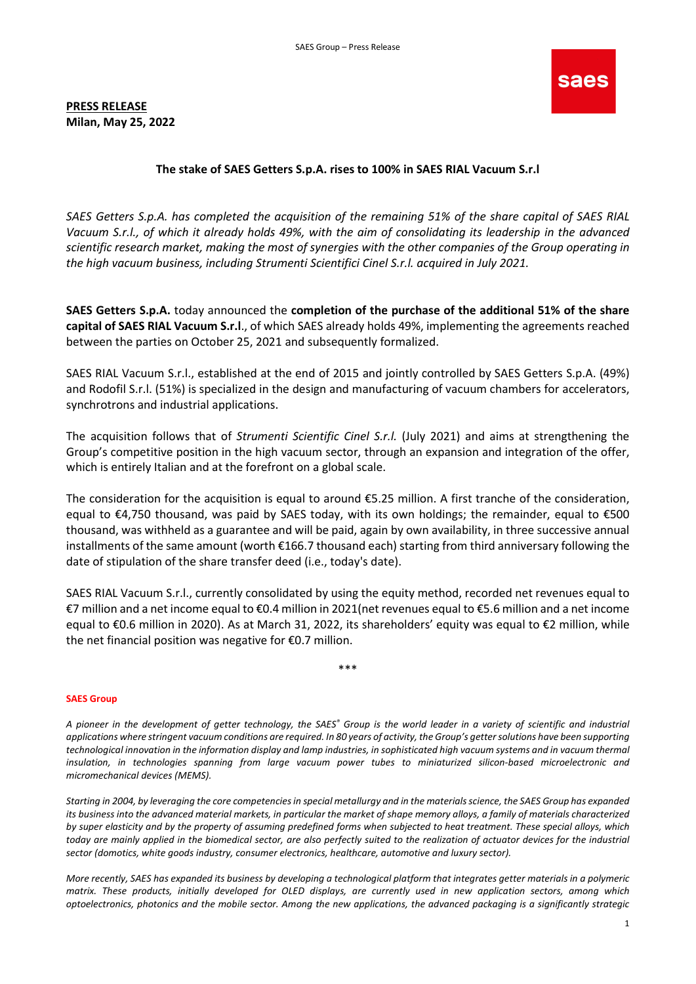## PRESS RELEASE Milan, May 25, 2022



## The stake of SAES Getters S.p.A. rises to 100% in SAES RIAL Vacuum S.r.l

SAES Getters S.p.A. has completed the acquisition of the remaining 51% of the share capital of SAES RIAL Vacuum S.r.l., of which it already holds 49%, with the aim of consolidating its leadership in the advanced scientific research market, making the most of synergies with the other companies of the Group operating in the high vacuum business, including Strumenti Scientifici Cinel S.r.l. acquired in July 2021.

SAES Getters S.p.A. today announced the completion of the purchase of the additional 51% of the share capital of SAES RIAL Vacuum S.r.l., of which SAES already holds 49%, implementing the agreements reached between the parties on October 25, 2021 and subsequently formalized.

SAES RIAL Vacuum S.r.l., established at the end of 2015 and jointly controlled by SAES Getters S.p.A. (49%) and Rodofil S.r.l. (51%) is specialized in the design and manufacturing of vacuum chambers for accelerators, synchrotrons and industrial applications.

The acquisition follows that of Strumenti Scientific Cinel S.r.l. (July 2021) and aims at strengthening the Group's competitive position in the high vacuum sector, through an expansion and integration of the offer, which is entirely Italian and at the forefront on a global scale.

The consideration for the acquisition is equal to around €5.25 million. A first tranche of the consideration, equal to €4,750 thousand, was paid by SAES today, with its own holdings; the remainder, equal to €500 thousand, was withheld as a guarantee and will be paid, again by own availability, in three successive annual installments of the same amount (worth €166.7 thousand each) starting from third anniversary following the date of stipulation of the share transfer deed (i.e., today's date).

SAES RIAL Vacuum S.r.l., currently consolidated by using the equity method, recorded net revenues equal to €7 million and a net income equal to €0.4 million in 2021(net revenues equal to €5.6 million and a net income equal to €0.6 million in 2020). As at March 31, 2022, its shareholders' equity was equal to €2 million, while the net financial position was negative for €0.7 million.

\*\*\*

## SAES Group

A pioneer in the development of getter technology, the SAES® Group is the world leader in a variety of scientific and industrial applications where stringent vacuum conditions are required. In 80 years of activity, the Group's getter solutions have been supporting technological innovation in the information display and lamp industries, in sophisticated high vacuum systems and in vacuum thermal insulation, in technologies spanning from large vacuum power tubes to miniaturized silicon-based microelectronic and micromechanical devices (MEMS).

Starting in 2004, by leveraging the core competencies in special metallurgy and in the materials science, the SAES Group has expanded its business into the advanced material markets, in particular the market of shape memory alloys, a family of materials characterized by super elasticity and by the property of assuming predefined forms when subjected to heat treatment. These special alloys, which today are mainly applied in the biomedical sector, are also perfectly suited to the realization of actuator devices for the industrial sector (domotics, white goods industry, consumer electronics, healthcare, automotive and luxury sector).

More recently, SAES has expanded its business by developing a technological platform that integrates getter materials in a polymeric matrix. These products, initially developed for OLED displays, are currently used in new application sectors, among which optoelectronics, photonics and the mobile sector. Among the new applications, the advanced packaging is a significantly strategic